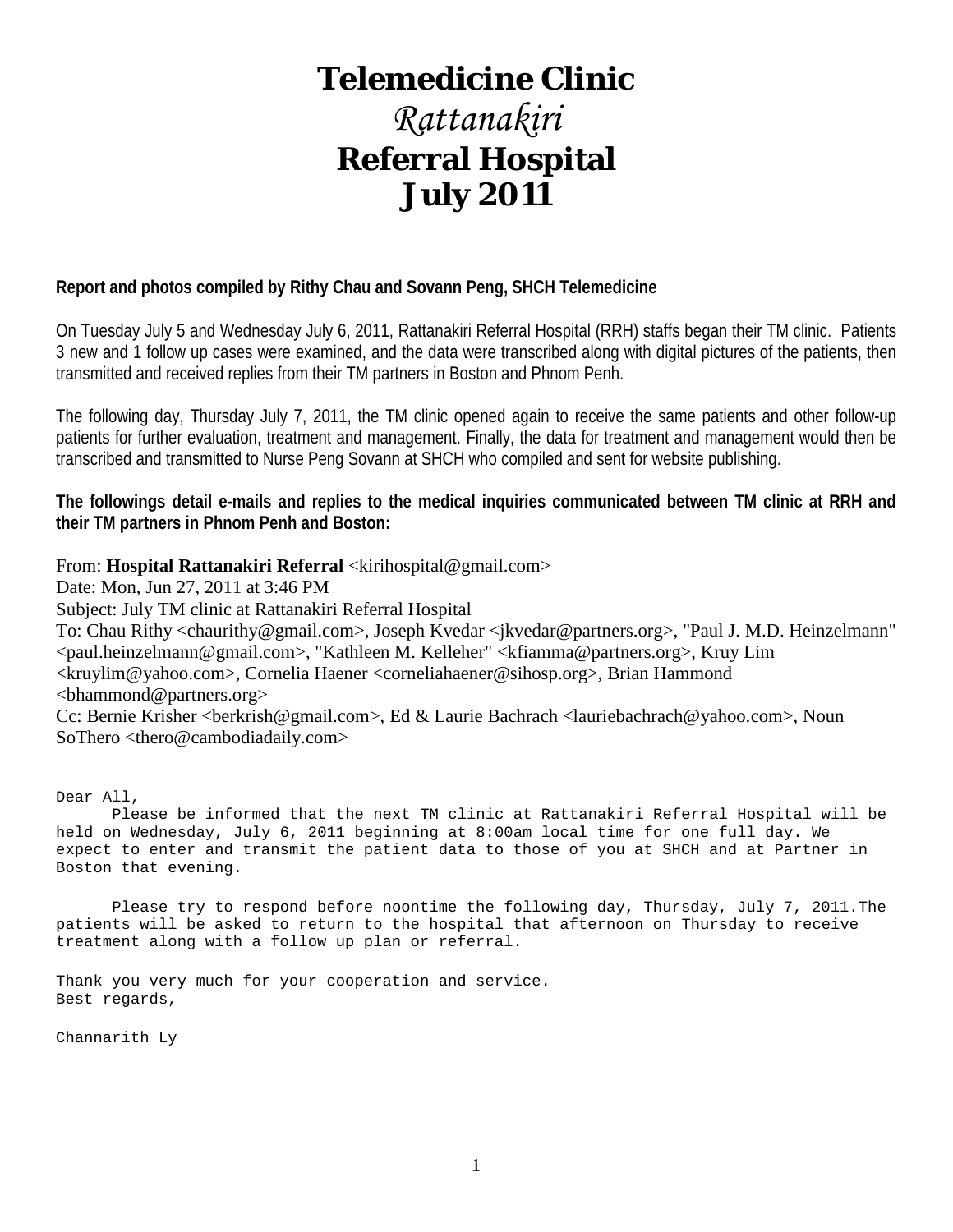# **Telemedicine Clinic**

# *Rattanakiri* **Referral Hospital July 2011**

# **Report and photos compiled by Rithy Chau and Sovann Peng, SHCH Telemedicine**

On Tuesday July 5 and Wednesday July 6, 2011, Rattanakiri Referral Hospital (RRH) staffs began their TM clinic. Patients 3 new and 1 follow up cases were examined, and the data were transcribed along with digital pictures of the patients, then transmitted and received replies from their TM partners in Boston and Phnom Penh.

The following day, Thursday July 7, 2011, the TM clinic opened again to receive the same patients and other follow-up patients for further evaluation, treatment and management. Finally, the data for treatment and management would then be transcribed and transmitted to Nurse Peng Sovann at SHCH who compiled and sent for website publishing.

**The followings detail e-mails and replies to the medical inquiries communicated between TM clinic at RRH and their TM partners in Phnom Penh and Boston:**

From: **Hospital Rattanakiri Referral** <kirihospital@gmail.com>

Date: Mon, Jun 27, 2011 at 3:46 PM

Subject: July TM clinic at Rattanakiri Referral Hospital

To: Chau Rithy <chaurithy@gmail.com>, Joseph Kvedar <jkvedar@partners.org>, "Paul J. M.D. Heinzelmann" <paul.heinzelmann@gmail.com>, "Kathleen M. Kelleher" <kfiamma@partners.org>, Kruy Lim <kruylim@yahoo.com>, Cornelia Haener <corneliahaener@sihosp.org>, Brian Hammond <bhammond@partners.org>

Cc: Bernie Krisher <br/> <br/>cherkrish@gmail.com>, Ed & Laurie Bachrach <lauriebachrach@yahoo.com>, Noun SoThero <thero@cambodiadaily.com>

Dear All,

 Please be informed that the next TM clinic at Rattanakiri Referral Hospital will be held on Wednesday, July 6, 2011 beginning at 8:00am local time for one full day. We expect to enter and transmit the patient data to those of you at SHCH and at Partner in Boston that evening.

 Please try to respond before noontime the following day, Thursday, July 7, 2011.The patients will be asked to return to the hospital that afternoon on Thursday to receive treatment along with a follow up plan or referral.

Thank you very much for your cooperation and service. Best regards,

Channarith Ly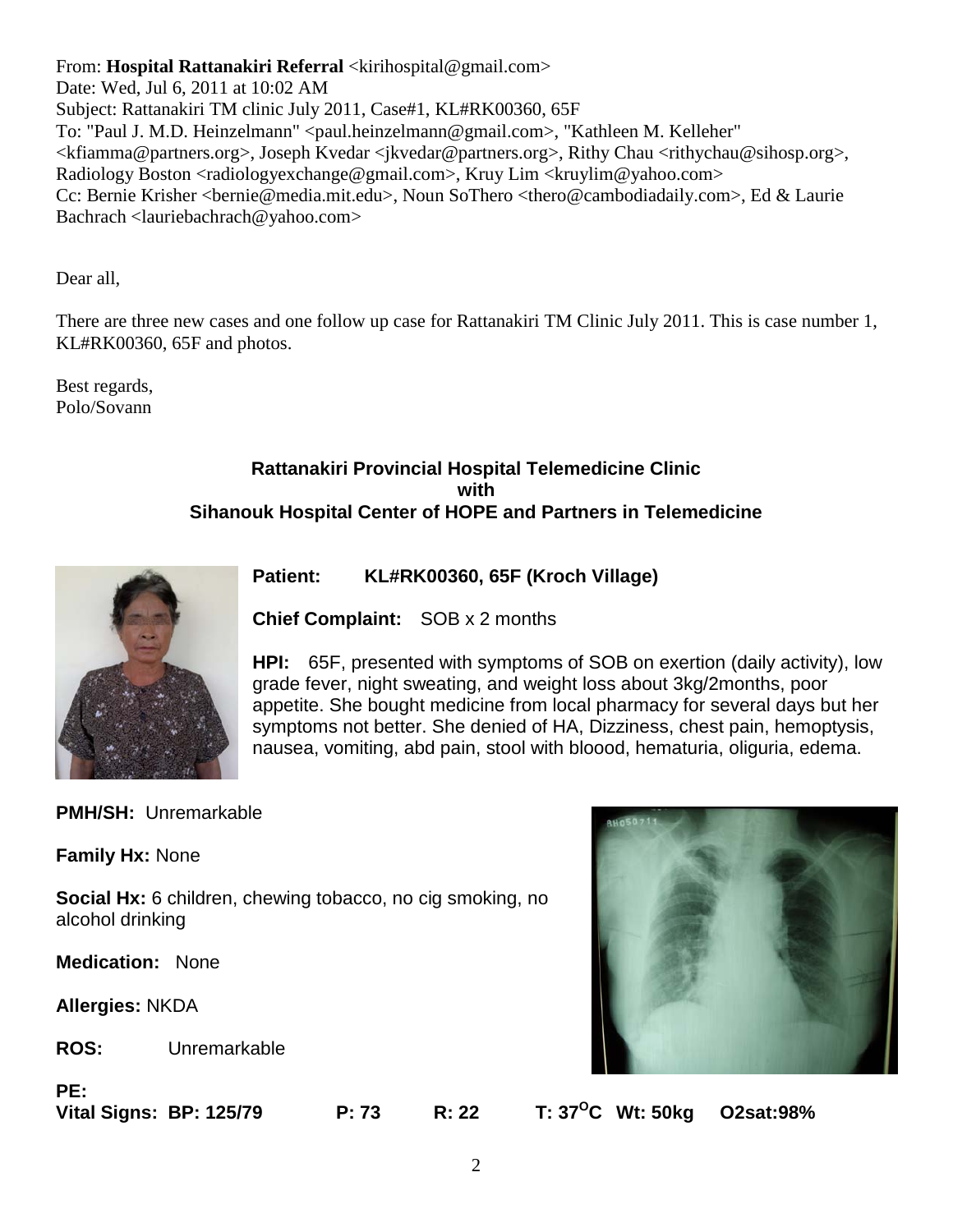From: **Hospital Rattanakiri Referral** <kirihospital@gmail.com> Date: Wed, Jul 6, 2011 at 10:02 AM Subject: Rattanakiri TM clinic July 2011, Case#1, KL#RK00360, 65F To: "Paul J. M.D. Heinzelmann" <paul.heinzelmann@gmail.com>, "Kathleen M. Kelleher" <kfiamma@partners.org>, Joseph Kvedar <jkvedar@partners.org>, Rithy Chau <rithychau@sihosp.org>, Radiology Boston <radiologyexchange@gmail.com>, Kruy Lim <kruylim@yahoo.com> Cc: Bernie Krisher <bernie@media.mit.edu>, Noun SoThero <thero@cambodiadaily.com>, Ed & Laurie Bachrach <lauriebachrach@yahoo.com>

Dear all,

There are three new cases and one follow up case for Rattanakiri TM Clinic July 2011. This is case number 1, KL#RK00360, 65F and photos.

Best regards, Polo/Sovann

# **Rattanakiri Provincial Hospital Telemedicine Clinic with Sihanouk Hospital Center of HOPE and Partners in Telemedicine**



**Patient: KL#RK00360, 65F (Kroch Village)** 

**Chief Complaint:** SOB x 2 months

**HPI:** 65F, presented with symptoms of SOB on exertion (daily activity), low grade fever, night sweating, and weight loss about 3kg/2months, poor appetite. She bought medicine from local pharmacy for several days but her symptoms not better. She denied of HA, Dizziness, chest pain, hemoptysis, nausea, vomiting, abd pain, stool with bloood, hematuria, oliguria, edema.

**PMH/SH:** Unremarkable

**Family Hx:** None

**Social Hx:** 6 children, chewing tobacco, no cig smoking, no alcohol drinking

**Medication:** None

**Allergies:** NKDA

**ROS:** Unremarkable

**PE:**

**Vital Signs: BP: 125/79 P: 73 R: 22 T: 37OC Wt: 50kg O2sat:98%**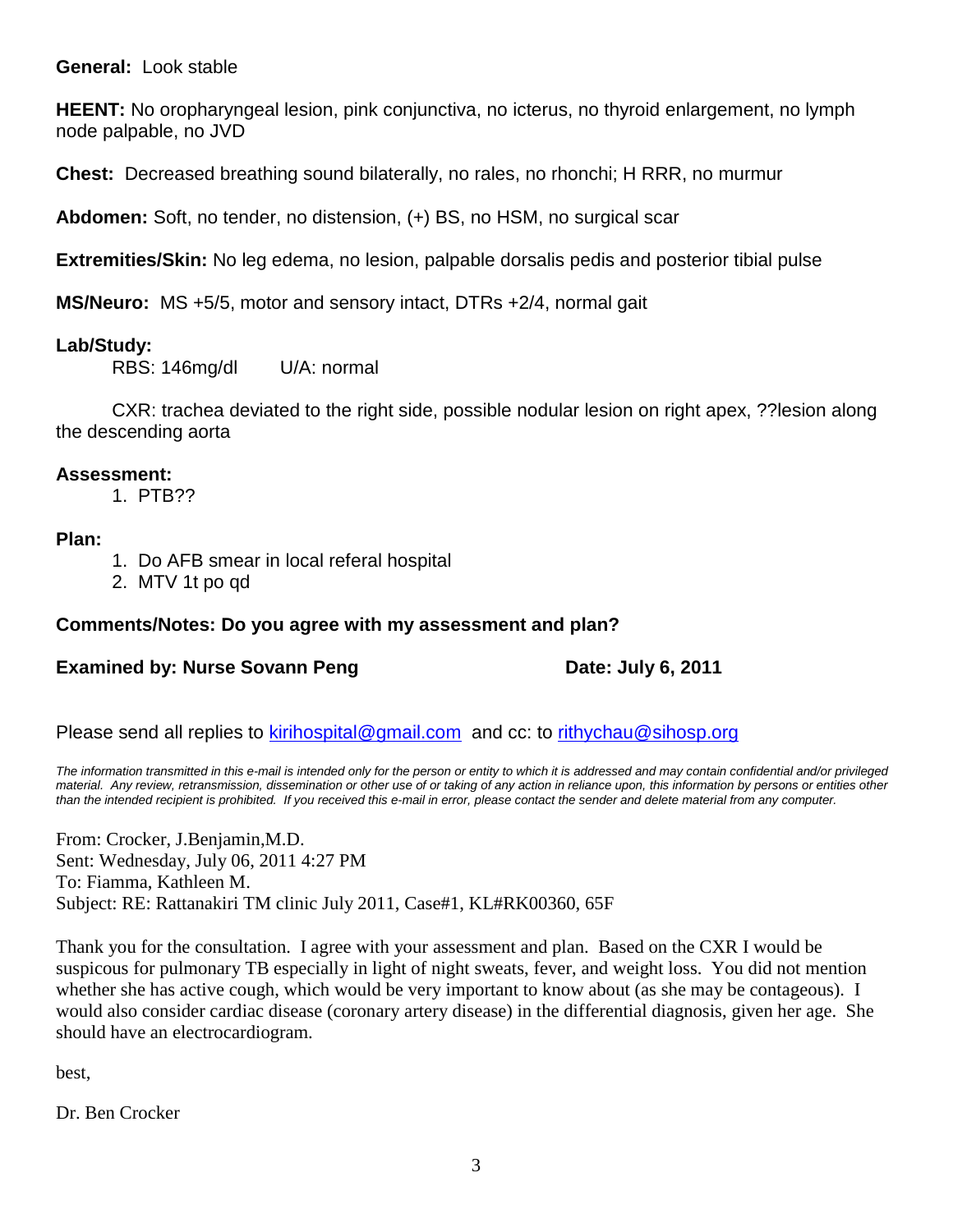# **General:** Look stable

**HEENT:** No oropharyngeal lesion, pink conjunctiva, no icterus, no thyroid enlargement, no lymph node palpable, no JVD

**Chest:** Decreased breathing sound bilaterally, no rales, no rhonchi; H RRR, no murmur

**Abdomen:** Soft, no tender, no distension, (+) BS, no HSM, no surgical scar

**Extremities/Skin:** No leg edema, no lesion, palpable dorsalis pedis and posterior tibial pulse

**MS/Neuro:** MS +5/5, motor and sensory intact, DTRs +2/4, normal gait

# **Lab/Study:**

RBS: 146mg/dl U/A: normal

CXR: trachea deviated to the right side, possible nodular lesion on right apex, ??lesion along the descending aorta

# **Assessment:**

1. PTB??

# **Plan:**

- 1. Do AFB smear in local referal hospital
- 2. MTV 1t po qd

# **Comments/Notes: Do you agree with my assessment and plan?**

# **Examined by: Nurse Sovann Peng Date: July 6, 2011**

Please send all replies to [kirihospital@gmail.com](mailto:kirihospital@gmail.com) and cc: to [rithychau@sihosp.org](mailto:rithychau@sihosp.org)

*The information transmitted in this e-mail is intended only for the person or entity to which it is addressed and may contain confidential and/or privileged material. Any review, retransmission, dissemination or other use of or taking of any action in reliance upon, this information by persons or entities other than the intended recipient is prohibited. If you received this e-mail in error, please contact the sender and delete material from any computer.*

From: Crocker, J.Benjamin,M.D. Sent: Wednesday, July 06, 2011 4:27 PM To: Fiamma, Kathleen M. Subject: RE: Rattanakiri TM clinic July 2011, Case#1, KL#RK00360, 65F

Thank you for the consultation. I agree with your assessment and plan. Based on the CXR I would be suspicous for pulmonary TB especially in light of night sweats, fever, and weight loss. You did not mention whether she has active cough, which would be very important to know about (as she may be contageous). I would also consider cardiac disease (coronary artery disease) in the differential diagnosis, given her age. She should have an electrocardiogram.

best,

Dr. Ben Crocker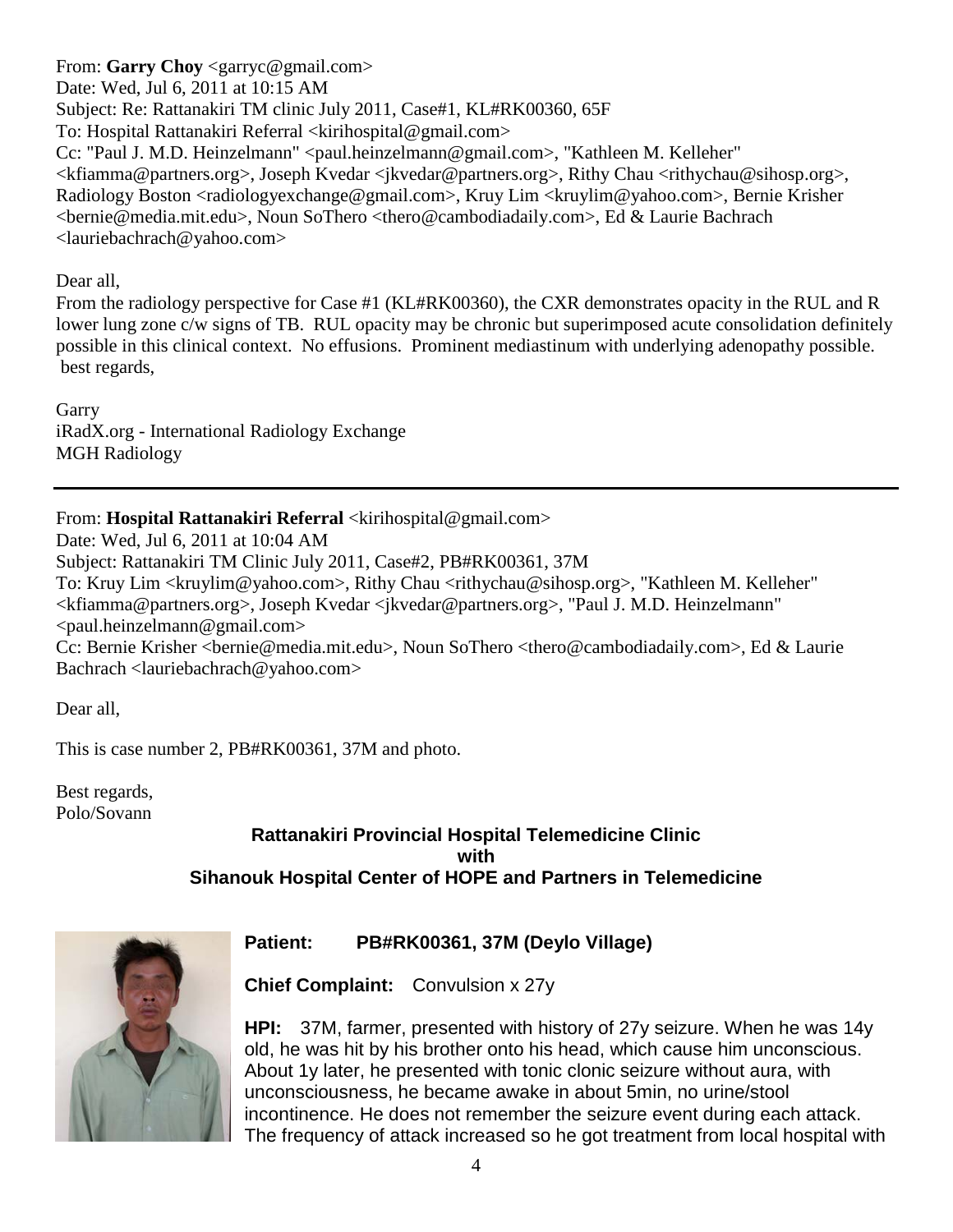From: **Garry Choy** <garryc@gmail.com> Date: Wed, Jul 6, 2011 at 10:15 AM Subject: Re: Rattanakiri TM clinic July 2011, Case#1, KL#RK00360, 65F To: Hospital Rattanakiri Referral <kirihospital@gmail.com> Cc: "Paul J. M.D. Heinzelmann" <paul.heinzelmann@gmail.com>, "Kathleen M. Kelleher" <kfiamma@partners.org>, Joseph Kvedar <jkvedar@partners.org>, Rithy Chau <rithychau@sihosp.org>, Radiology Boston <radiologyexchange@gmail.com>, Kruy Lim <kruylim@yahoo.com>, Bernie Krisher <bernie@media.mit.edu>, Noun SoThero <thero@cambodiadaily.com>, Ed & Laurie Bachrach <lauriebachrach@yahoo.com>

Dear all,

From the radiology perspective for Case #1 (KL#RK00360), the CXR demonstrates opacity in the RUL and R lower lung zone c/w signs of TB. RUL opacity may be chronic but superimposed acute consolidation definitely possible in this clinical context. No effusions. Prominent mediastinum with underlying adenopathy possible. best regards,

Garry iRadX.org - International Radiology Exchange MGH Radiology

From: Hospital Rattanakiri Referral <kirihospital@gmail.com>

Date: Wed, Jul 6, 2011 at 10:04 AM

Subject: Rattanakiri TM Clinic July 2011, Case#2, PB#RK00361, 37M

To: Kruy Lim <kruylim@yahoo.com>, Rithy Chau <rithychau@sihosp.org>, "Kathleen M. Kelleher" <kfiamma@partners.org>, Joseph Kvedar <jkvedar@partners.org>, "Paul J. M.D. Heinzelmann" <paul.heinzelmann@gmail.com>

Cc: Bernie Krisher <bernie@media.mit.edu>, Noun SoThero <thero@cambodiadaily.com>, Ed & Laurie Bachrach <lauriebachrach@yahoo.com>

Dear all,

This is case number 2, PB#RK00361, 37M and photo.

Best regards, Polo/Sovann

# **Rattanakiri Provincial Hospital Telemedicine Clinic with Sihanouk Hospital Center of HOPE and Partners in Telemedicine**



# **Patient: PB#RK00361, 37M (Deylo Village)**

**Chief Complaint:** Convulsion x 27y

**HPI:** 37M, farmer, presented with history of 27y seizure. When he was 14y old, he was hit by his brother onto his head, which cause him unconscious. About 1y later, he presented with tonic clonic seizure without aura, with unconsciousness, he became awake in about 5min, no urine/stool incontinence. He does not remember the seizure event during each attack. The frequency of attack increased so he got treatment from local hospital with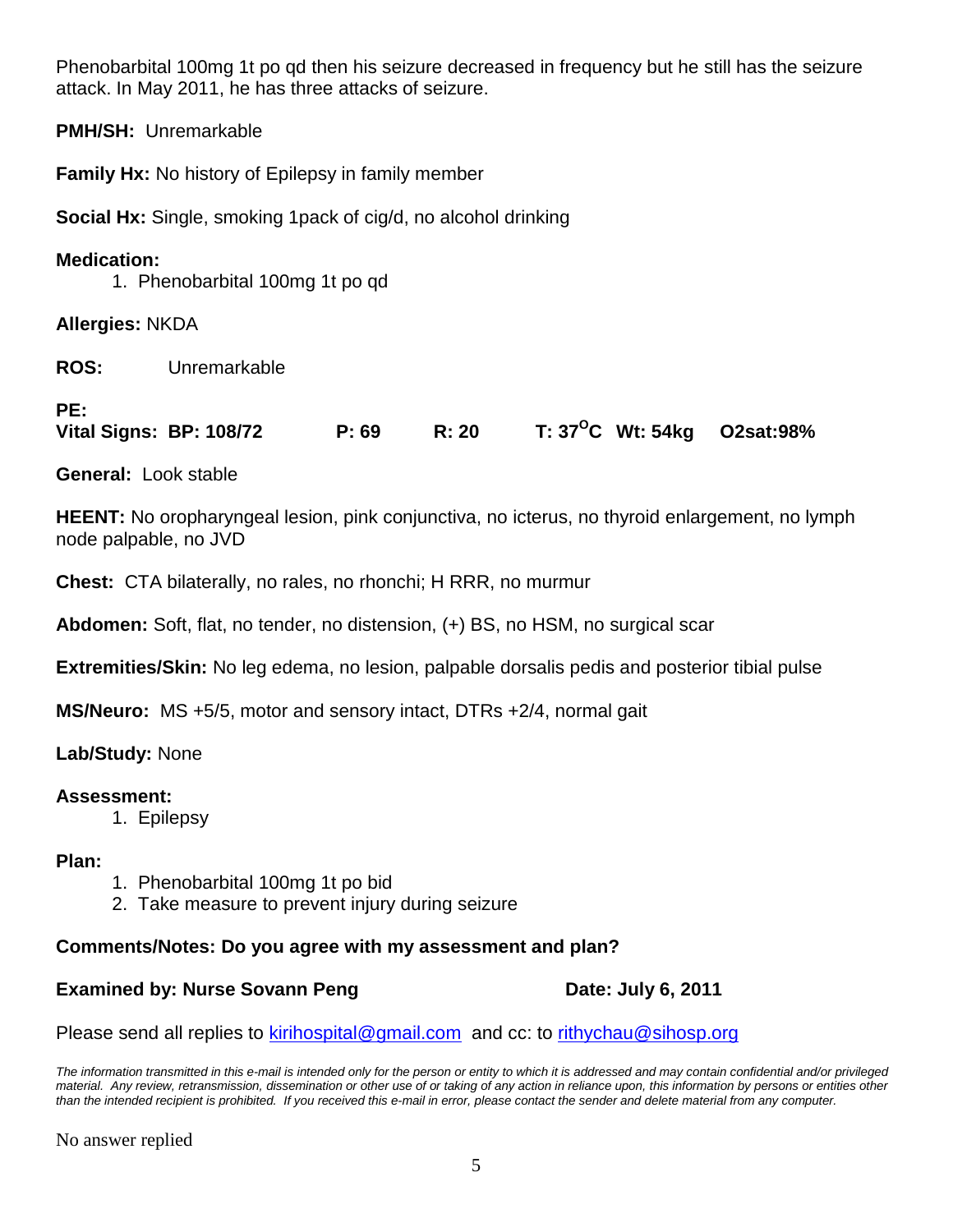Phenobarbital 100mg 1t po qd then his seizure decreased in frequency but he still has the seizure attack. In May 2011, he has three attacks of seizure.

**PMH/SH:** Unremarkable

**Family Hx:** No history of Epilepsy in family member

**Social Hx:** Single, smoking 1pack of cig/d, no alcohol drinking

# **Medication:**

1. Phenobarbital 100mg 1t po qd

**Allergies:** NKDA

**ROS:** Unremarkable

# **PE:**

**Vital Signs: BP: 108/72 P: 69 R: 20 T: 37OC Wt: 54kg O2sat:98%**

**General:** Look stable

**HEENT:** No oropharyngeal lesion, pink conjunctiva, no icterus, no thyroid enlargement, no lymph node palpable, no JVD

**Chest:** CTA bilaterally, no rales, no rhonchi; H RRR, no murmur

**Abdomen:** Soft, flat, no tender, no distension, (+) BS, no HSM, no surgical scar

**Extremities/Skin:** No leg edema, no lesion, palpable dorsalis pedis and posterior tibial pulse

**MS/Neuro:** MS +5/5, motor and sensory intact, DTRs +2/4, normal gait

**Lab/Study:** None

# **Assessment:**

1. Epilepsy

# **Plan:**

- 1. Phenobarbital 100mg 1t po bid
- 2. Take measure to prevent injury during seizure

# **Comments/Notes: Do you agree with my assessment and plan?**

# **Examined by: Nurse Sovann Peng Date: July 6, 2011**

Please send all replies to [kirihospital@gmail.com](mailto:kirihospital@gmail.com) and cc: to [rithychau@sihosp.org](mailto:rithychau@sihosp.org)

*The information transmitted in this e-mail is intended only for the person or entity to which it is addressed and may contain confidential and/or privileged material. Any review, retransmission, dissemination or other use of or taking of any action in reliance upon, this information by persons or entities other than the intended recipient is prohibited. If you received this e-mail in error, please contact the sender and delete material from any computer.*

No answer replied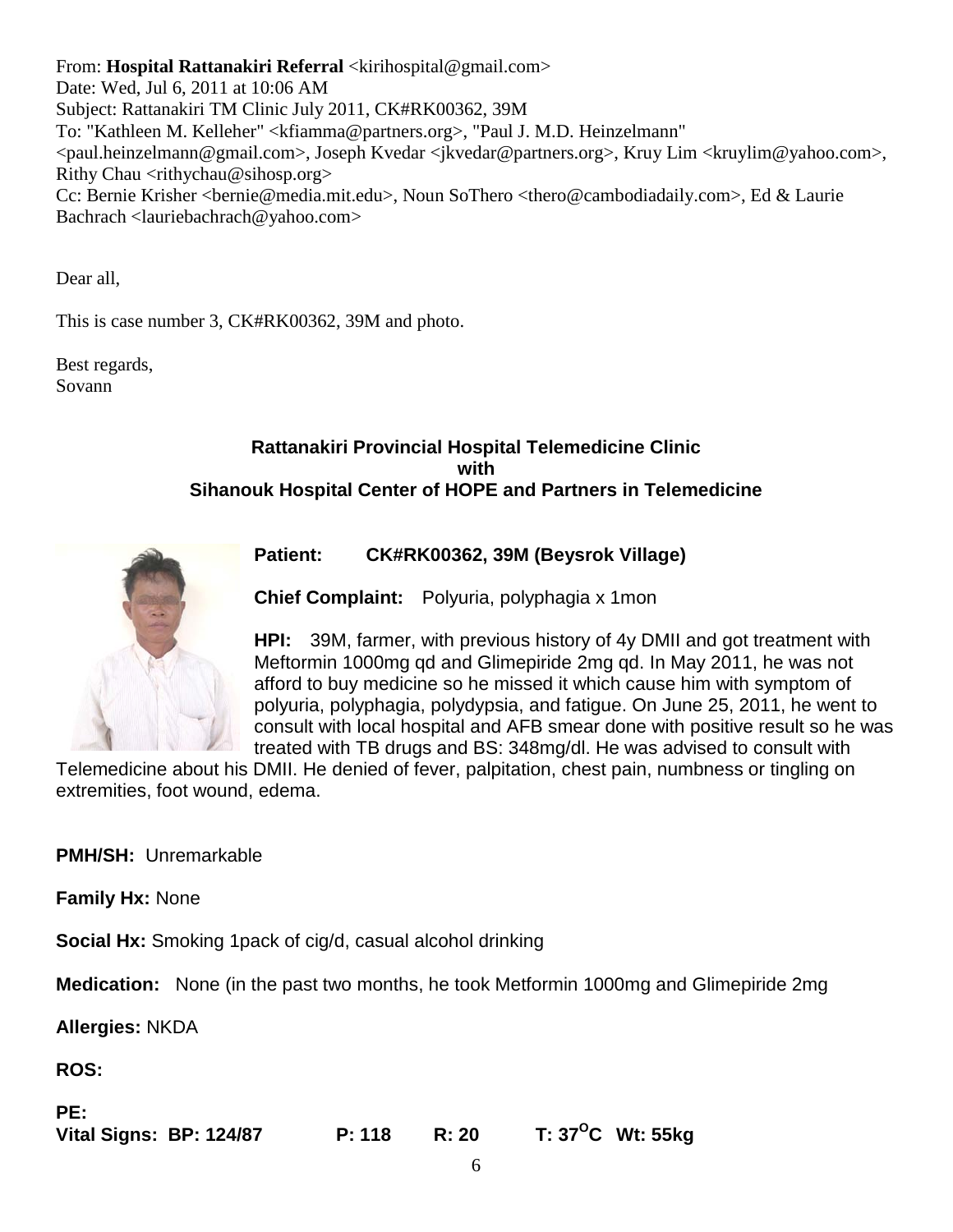From: **Hospital Rattanakiri Referral** <kirihospital@gmail.com> Date: Wed, Jul 6, 2011 at 10:06 AM Subject: Rattanakiri TM Clinic July 2011, CK#RK00362, 39M To: "Kathleen M. Kelleher" <kfiamma@partners.org>, "Paul J. M.D. Heinzelmann" <paul.heinzelmann@gmail.com>, Joseph Kvedar <jkvedar@partners.org>, Kruy Lim <kruylim@yahoo.com>, Rithy Chau  $\langle$ rithychau@sihosp.org $\rangle$ Cc: Bernie Krisher <bernie@media.mit.edu>, Noun SoThero <thero@cambodiadaily.com>, Ed & Laurie Bachrach <lauriebachrach@yahoo.com>

Dear all,

This is case number 3, CK#RK00362, 39M and photo.

Best regards, Sovann

# **Rattanakiri Provincial Hospital Telemedicine Clinic with Sihanouk Hospital Center of HOPE and Partners in Telemedicine**



**Patient: CK#RK00362, 39M (Beysrok Village)** 

**Chief Complaint:** Polyuria, polyphagia x 1mon

**HPI:** 39M, farmer, with previous history of 4y DMII and got treatment with Meftormin 1000mg qd and Glimepiride 2mg qd. In May 2011, he was not afford to buy medicine so he missed it which cause him with symptom of polyuria, polyphagia, polydypsia, and fatigue. On June 25, 2011, he went to consult with local hospital and AFB smear done with positive result so he was treated with TB drugs and BS: 348mg/dl. He was advised to consult with

Telemedicine about his DMII. He denied of fever, palpitation, chest pain, numbness or tingling on extremities, foot wound, edema.

**PMH/SH:** Unremarkable

**Family Hx:** None

**Social Hx:** Smoking 1pack of cig/d, casual alcohol drinking

**Medication:** None (in the past two months, he took Metformin 1000mg and Glimepiride 2mg

**Allergies:** NKDA

**ROS:**

| PE:                     |        |       |                            |
|-------------------------|--------|-------|----------------------------|
| Vital Signs: BP: 124/87 | P: 118 | R: 20 | T: $37^{\circ}$ C Wt: 55kg |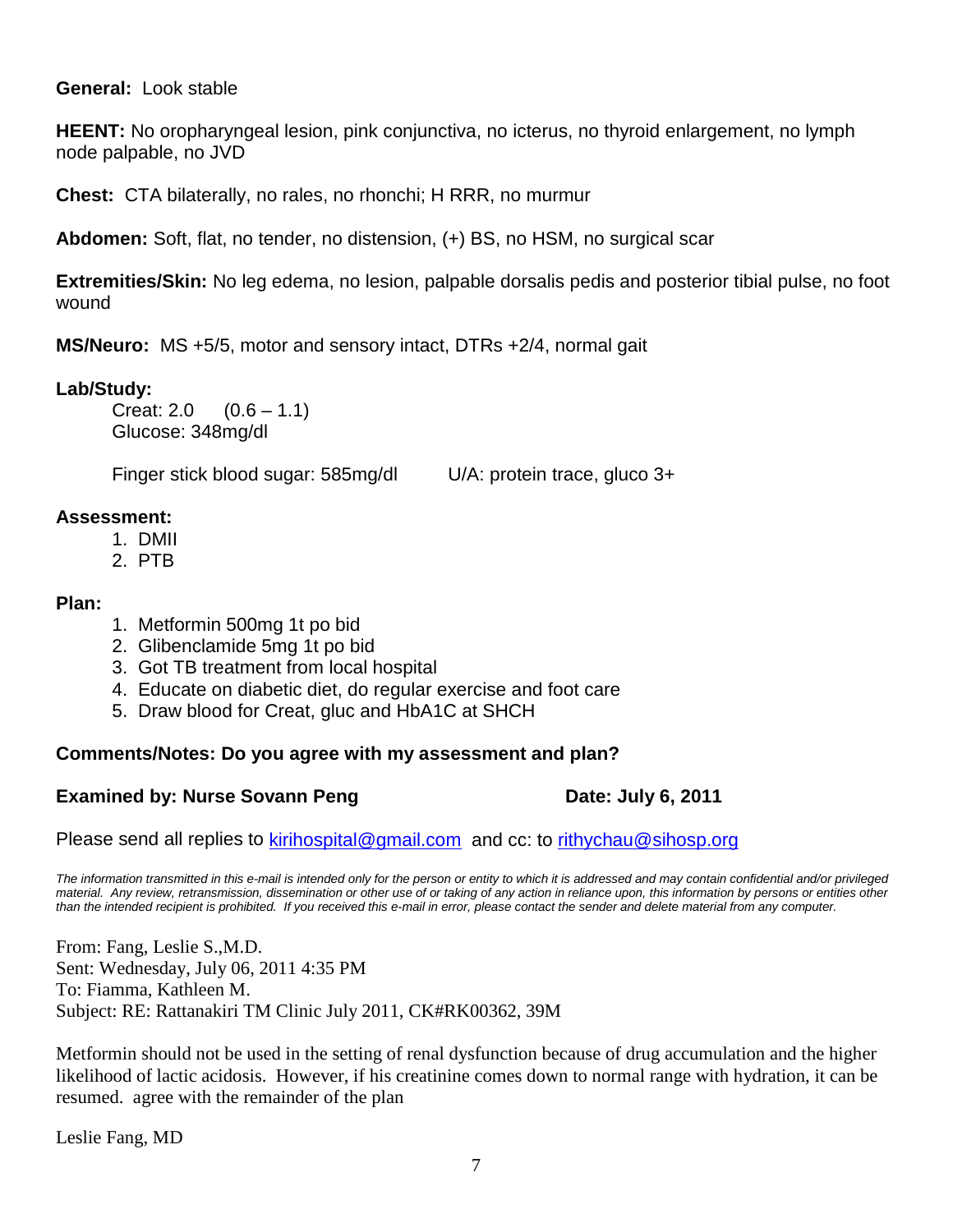# **General:** Look stable

**HEENT:** No oropharyngeal lesion, pink conjunctiva, no icterus, no thyroid enlargement, no lymph node palpable, no JVD

**Chest:** CTA bilaterally, no rales, no rhonchi; H RRR, no murmur

**Abdomen:** Soft, flat, no tender, no distension, (+) BS, no HSM, no surgical scar

**Extremities/Skin:** No leg edema, no lesion, palpable dorsalis pedis and posterior tibial pulse, no foot wound

**MS/Neuro:** MS +5/5, motor and sensory intact, DTRs +2/4, normal gait

# Lab/Study:<br>Creat: 2.0

 $(0.6 - 1.1)$ Glucose: 348mg/dl

Finger stick blood sugar: 585mg/dl U/A: protein trace, gluco 3+

# **Assessment:**

- 1. DMII
- 2. PTB

# **Plan:**

- 1. Metformin 500mg 1t po bid
- 2. Glibenclamide 5mg 1t po bid
- 3. Got TB treatment from local hospital
- 4. Educate on diabetic diet, do regular exercise and foot care
- 5. Draw blood for Creat, gluc and HbA1C at SHCH

# **Comments/Notes: Do you agree with my assessment and plan?**

# **Examined by: Nurse Sovann Peng Date: July 6, 2011**

Please send all replies to [kirihospital@gmail.com](mailto:kirihospital@gmail.com) and cc: to [rithychau@sihosp.org](mailto:rithychau@sihosp.org)

*The information transmitted in this e-mail is intended only for the person or entity to which it is addressed and may contain confidential and/or privileged material. Any review, retransmission, dissemination or other use of or taking of any action in reliance upon, this information by persons or entities other than the intended recipient is prohibited. If you received this e-mail in error, please contact the sender and delete material from any computer.*

From: Fang, Leslie S.,M.D. Sent: Wednesday, July 06, 2011 4:35 PM To: Fiamma, Kathleen M. Subject: RE: Rattanakiri TM Clinic July 2011, CK#RK00362, 39M

Metformin should not be used in the setting of renal dysfunction because of drug accumulation and the higher likelihood of lactic acidosis. However, if his creatinine comes down to normal range with hydration, it can be resumed. agree with the remainder of the plan

Leslie Fang, MD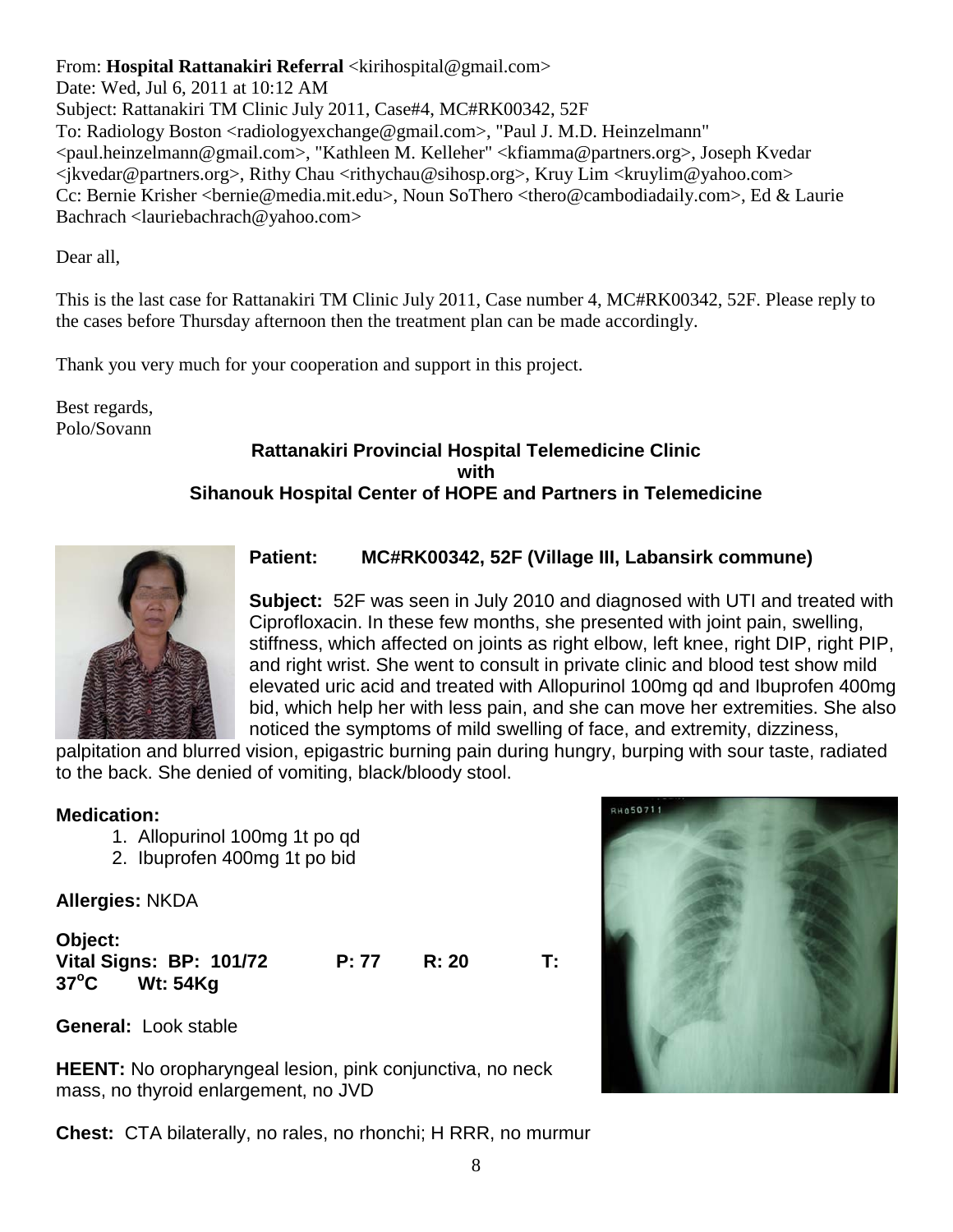From: **Hospital Rattanakiri Referral** <kirihospital@gmail.com> Date: Wed, Jul 6, 2011 at 10:12 AM Subject: Rattanakiri TM Clinic July 2011, Case#4, MC#RK00342, 52F To: Radiology Boston <radiologyexchange@gmail.com>, "Paul J. M.D. Heinzelmann" <paul.heinzelmann@gmail.com>, "Kathleen M. Kelleher" <kfiamma@partners.org>, Joseph Kvedar  $\langle$ ikvedar@partners.org>, Rithy Chau  $\langle$ rithychau@sihosp.org>, Kruy Lim  $\langle$ kruylim@yahoo.com> Cc: Bernie Krisher <bernie@media.mit.edu>, Noun SoThero <thero@cambodiadaily.com>, Ed & Laurie Bachrach <lauriebachrach@yahoo.com>

Dear all,

This is the last case for Rattanakiri TM Clinic July 2011, Case number 4, MC#RK00342, 52F. Please reply to the cases before Thursday afternoon then the treatment plan can be made accordingly.

Thank you very much for your cooperation and support in this project.

Best regards, Polo/Sovann

# **Rattanakiri Provincial Hospital Telemedicine Clinic with Sihanouk Hospital Center of HOPE and Partners in Telemedicine**



# **Patient: MC#RK00342, 52F (Village III, Labansirk commune)**

**Subject:** 52F was seen in July 2010 and diagnosed with UTI and treated with Ciprofloxacin. In these few months, she presented with joint pain, swelling, stiffness, which affected on joints as right elbow, left knee, right DIP, right PIP, and right wrist. She went to consult in private clinic and blood test show mild elevated uric acid and treated with Allopurinol 100mg qd and Ibuprofen 400mg bid, which help her with less pain, and she can move her extremities. She also noticed the symptoms of mild swelling of face, and extremity, dizziness,

palpitation and blurred vision, epigastric burning pain during hungry, burping with sour taste, radiated to the back. She denied of vomiting, black/bloody stool.

# **Medication:**

- 1. Allopurinol 100mg 1t po qd
- 2. Ibuprofen 400mg 1t po bid

**Allergies:** NKDA

| Object:                    |       |              |    |
|----------------------------|-------|--------------|----|
| Vital Signs: BP: 101/72    | P: 77 | <b>R: 20</b> | Т: |
| $37^{\circ}$ C<br>Wt: 54Kq |       |              |    |

**General:** Look stable

**HEENT:** No oropharyngeal lesion, pink conjunctiva, no neck mass, no thyroid enlargement, no JVD

**Chest:** CTA bilaterally, no rales, no rhonchi; H RRR, no murmur

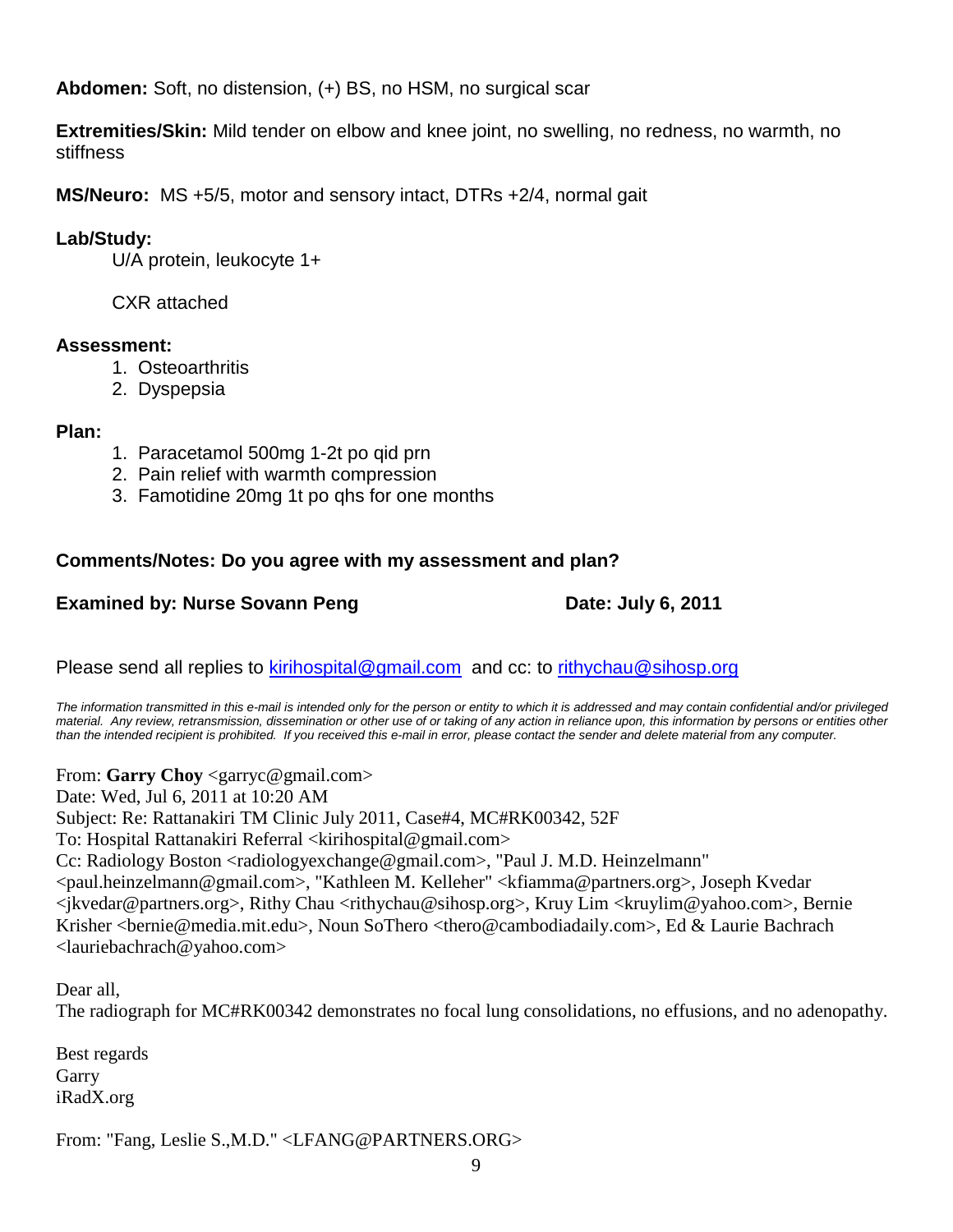**Abdomen:** Soft, no distension, (+) BS, no HSM, no surgical scar

**Extremities/Skin:** Mild tender on elbow and knee joint, no swelling, no redness, no warmth, no stiffness

**MS/Neuro:** MS +5/5, motor and sensory intact, DTRs +2/4, normal gait

# **Lab/Study:**

U/A protein, leukocyte 1+

CXR attached

# **Assessment:**

- 1. Osteoarthritis
- 2. Dyspepsia

# **Plan:**

- 1. Paracetamol 500mg 1-2t po qid prn
- 2. Pain relief with warmth compression
- 3. Famotidine 20mg 1t po qhs for one months

# **Comments/Notes: Do you agree with my assessment and plan?**

# **Examined by: Nurse Sovann Peng Date: July 6, 2011**

Please send all replies to [kirihospital@gmail.com](mailto:kirihospital@gmail.com) and cc: to [rithychau@sihosp.org](mailto:rithychau@sihosp.org)

*The information transmitted in this e-mail is intended only for the person or entity to which it is addressed and may contain confidential and/or privileged material. Any review, retransmission, dissemination or other use of or taking of any action in reliance upon, this information by persons or entities other than the intended recipient is prohibited. If you received this e-mail in error, please contact the sender and delete material from any computer.*

From: **Garry Choy** <garryc@gmail.com>

Date: Wed, Jul 6, 2011 at 10:20 AM

Subject: Re: Rattanakiri TM Clinic July 2011, Case#4, MC#RK00342, 52F

To: Hospital Rattanakiri Referral <kirihospital@gmail.com>

Cc: Radiology Boston <radiologyexchange@gmail.com>, "Paul J. M.D. Heinzelmann"

<paul.heinzelmann@gmail.com>, "Kathleen M. Kelleher" <kfiamma@partners.org>, Joseph Kvedar <jkvedar@partners.org>, Rithy Chau <rithychau@sihosp.org>, Kruy Lim <kruylim@yahoo.com>, Bernie Krisher <br/>bernie@media.mit.edu>, Noun SoThero <thero@cambodiadaily.com>, Ed & Laurie Bachrach <lauriebachrach@yahoo.com>

Dear all, The radiograph for MC#RK00342 demonstrates no focal lung consolidations, no effusions, and no adenopathy.

Best regards Garry iRadX.org

From: "Fang, Leslie S.,M.D." <LFANG@PARTNERS.ORG>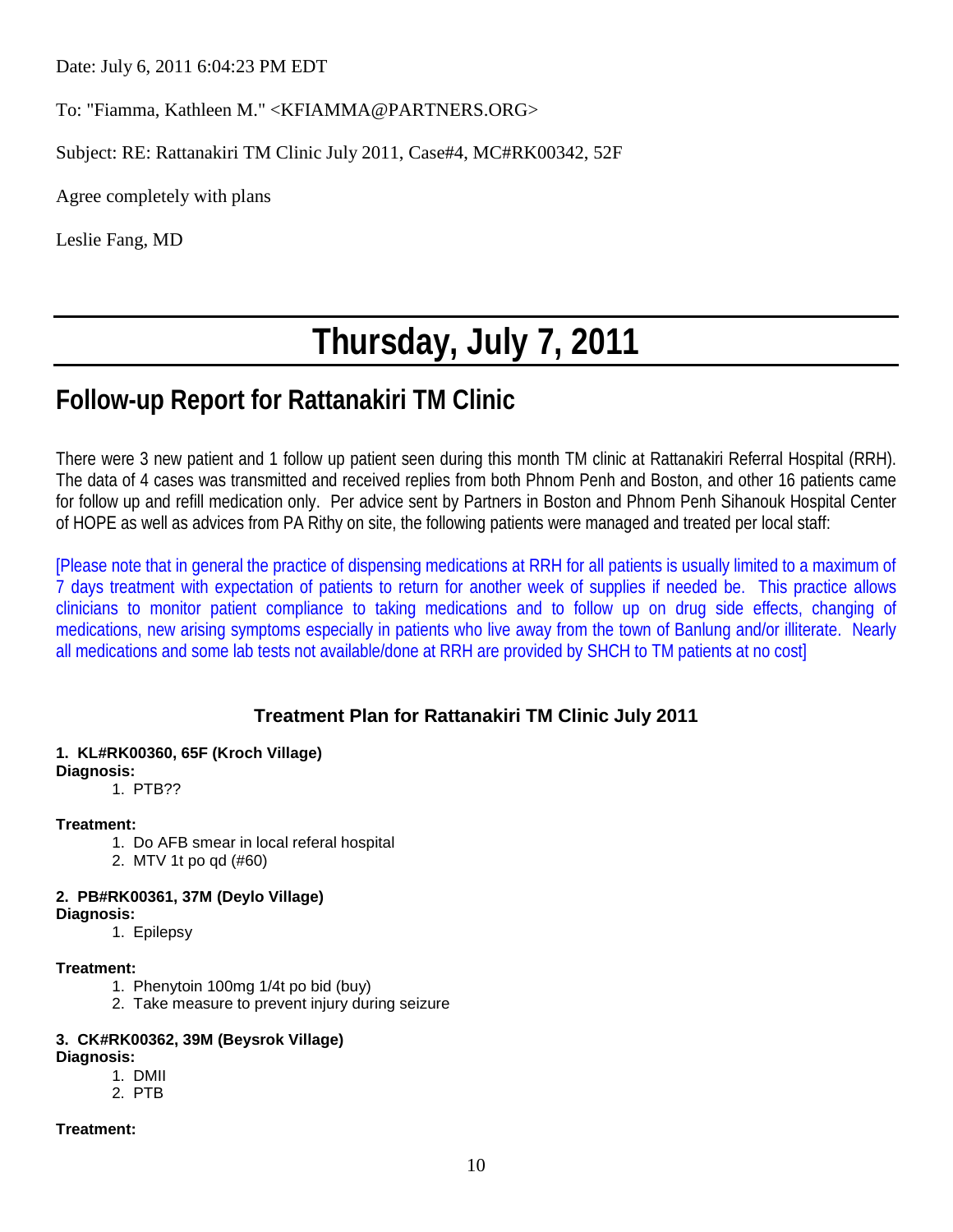Date: July 6, 2011 6:04:23 PM EDT

To: "Fiamma, Kathleen M." <KFIAMMA@PARTNERS.ORG>

Subject: RE: Rattanakiri TM Clinic July 2011, Case#4, MC#RK00342, 52F

Agree completely with plans

Leslie Fang, MD

# **Thursday, July 7, 2011**

# **Follow-up Report for Rattanakiri TM Clinic**

There were 3 new patient and 1 follow up patient seen during this month TM clinic at Rattanakiri Referral Hospital (RRH). The data of 4 cases was transmitted and received replies from both Phnom Penh and Boston, and other 16 patients came for follow up and refill medication only. Per advice sent by Partners in Boston and Phnom Penh Sihanouk Hospital Center of HOPE as well as advices from PA Rithy on site, the following patients were managed and treated per local staff:

[Please note that in general the practice of dispensing medications at RRH for all patients is usually limited to a maximum of 7 days treatment with expectation of patients to return for another week of supplies if needed be. This practice allows clinicians to monitor patient compliance to taking medications and to follow up on drug side effects, changing of medications, new arising symptoms especially in patients who live away from the town of Banlung and/or illiterate. Nearly all medications and some lab tests not available/done at RRH are provided by SHCH to TM patients at no cost]

# **Treatment Plan for Rattanakiri TM Clinic July 2011**

# **1. KL#RK00360, 65F (Kroch Village)**

**Diagnosis:**

1. PTB??

# **Treatment:**

- 1. Do AFB smear in local referal hospital
- 2. MTV 1t po qd (#60)
- **2. PB#RK00361, 37M (Deylo Village)**
- **Diagnosis:**
	- 1. Epilepsy

# **Treatment:**

- 1. Phenytoin 100mg 1/4t po bid (buy)
- 2. Take measure to prevent injury during seizure

# **3. CK#RK00362, 39M (Beysrok Village)**

# **Diagnosis:**

- 1. DMII
- 2. PTB

# **Treatment:**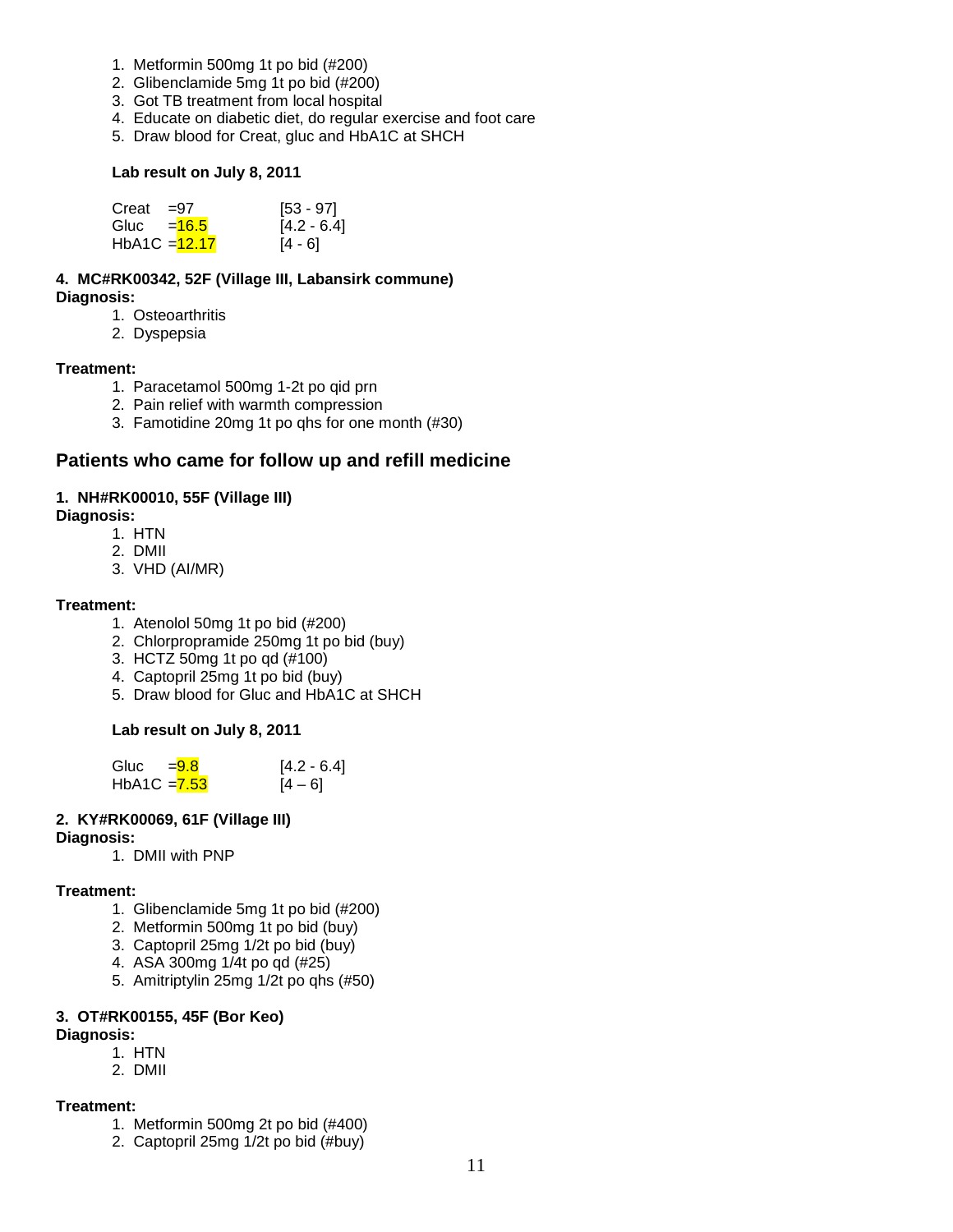- 1. Metformin 500mg 1t po bid (#200)
- 2. Glibenclamide 5mg 1t po bid (#200)
- 3. Got TB treatment from local hospital
- 4. Educate on diabetic diet, do regular exercise and foot care
- 5. Draw blood for Creat, gluc and HbA1C at SHCH

#### **Lab result on July 8, 2011**

| Creat           | $\equiv$ 97 | $[53 - 97]$   |
|-----------------|-------------|---------------|
| Gluc $=$ 16.5   |             | $[4.2 - 6.4]$ |
| $HbA1C = 12.17$ |             | [4 - 6]       |

**4. MC#RK00342, 52F (Village III, Labansirk commune) Diagnosis:**

- 1. Osteoarthritis
- 2. Dyspepsia

#### **Treatment:**

- 1. Paracetamol 500mg 1-2t po qid prn
- 2. Pain relief with warmth compression
- 3. Famotidine 20mg 1t po qhs for one month (#30)

# **Patients who came for follow up and refill medicine**

### **1. NH#RK00010, 55F (Village III)**

#### **Diagnosis:**

- 1. HTN
- 2. DMII
- 3. VHD (AI/MR)

#### **Treatment:**

- 1. Atenolol 50mg 1t po bid (#200)
- 2. Chlorpropramide 250mg 1t po bid (buy)
- 3. HCTZ 50mg 1t po qd (#100)
- 4. Captopril 25mg 1t po bid (buy)
- 5. Draw blood for Gluc and HbA1C at SHCH

# **Lab result on July 8, 2011**

Gluc  $=$   $\frac{9.8}{10}$  [4.2 - 6.4] HbA1C =  $\frac{7.53}{ }$  [4 – 6]

# **2. KY#RK00069, 61F (Village III)**

#### **Diagnosis:**

1. DMII with PNP

#### **Treatment:**

- 1. Glibenclamide 5mg 1t po bid (#200)
- 2. Metformin 500mg 1t po bid (buy)
- 3. Captopril 25mg 1/2t po bid (buy)
- 4. ASA 300mg 1/4t po qd (#25)
- 5. Amitriptylin 25mg 1/2t po qhs (#50)

#### **3. OT#RK00155, 45F (Bor Keo) Diagnosis:**

1. HTN 2. DMII

# **Treatment:**

- 1. Metformin 500mg 2t po bid (#400)
- 2. Captopril 25mg 1/2t po bid (#buy)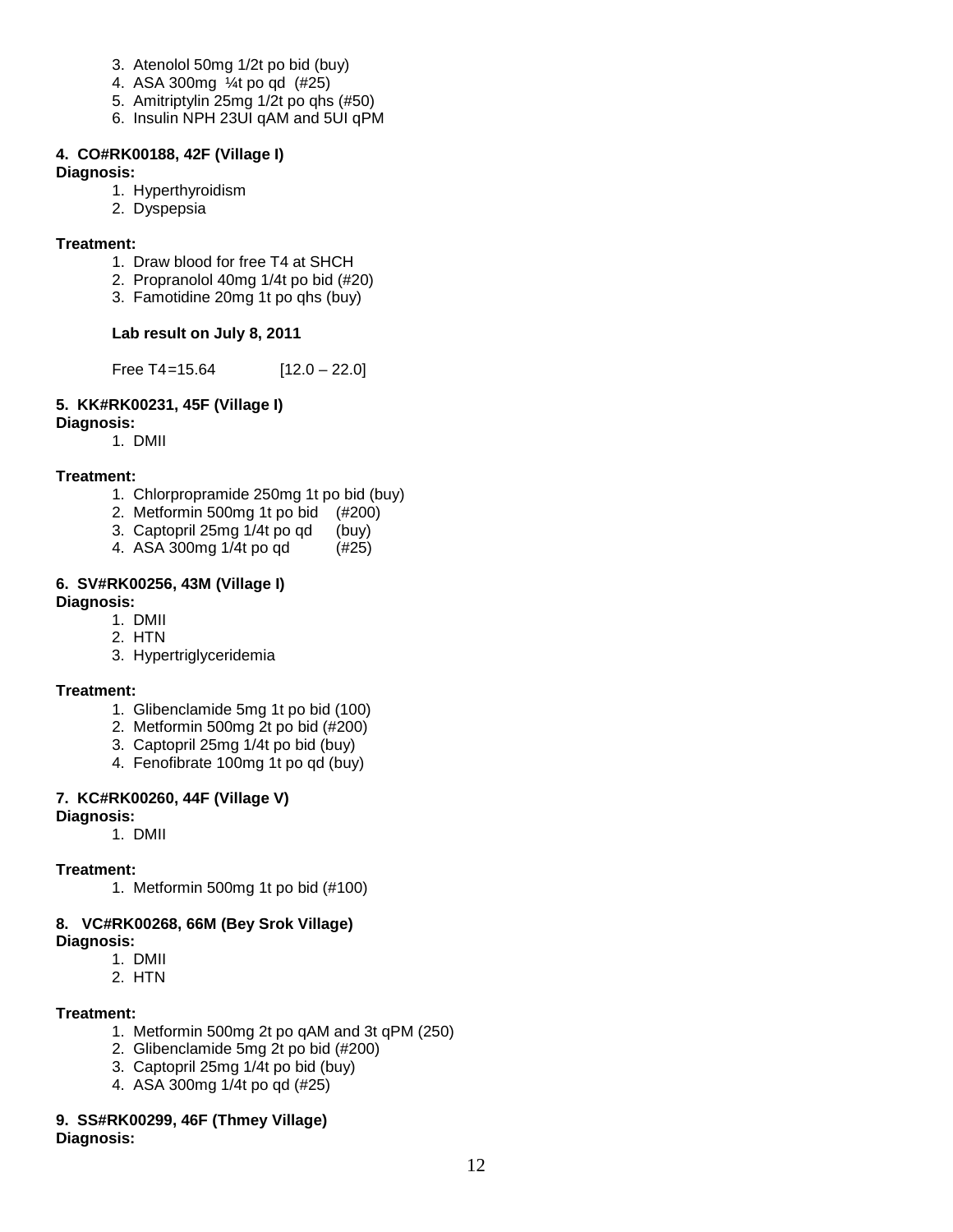- 3. Atenolol 50mg 1/2t po bid (buy)
- 4. ASA 300mg ¼t po qd (#25)
- 5. Amitriptylin 25mg 1/2t po qhs (#50)
- 6. Insulin NPH 23UI qAM and 5UI qPM

# **4. CO#RK00188, 42F (Village I)**

#### **Diagnosis:**

- 1. Hyperthyroidism
- 2. Dyspepsia

### **Treatment:**

- 1. Draw blood for free T4 at SHCH
- 2. Propranolol 40mg 1/4t po bid (#20)
- 3. Famotidine 20mg 1t po qhs (buy)

# **Lab result on July 8, 2011**

Free T4=15.64  $[12.0 - 22.0]$ 

# **5. KK#RK00231, 45F (Village I)**

#### **Diagnosis:**

1. DMII

# **Treatment:**

- 1. Chlorpropramide 250mg 1t po bid (buy)
- 2. Metformin 500mg 1t po bid (#200)<br>3. Captopril 25mg 1/4t po gd (buy)
- 3. Captopril 25mg 1/4t po qd (buy)<br>4. ASA 300mg 1/4t po qd (#25)
- 4. ASA 300mg 1/4t po qd

#### **6. SV#RK00256, 43M (Village I) Diagnosis:**

- 1. DMII
- 2. HTN
- 3. Hypertriglyceridemia

# **Treatment:**

- 1. Glibenclamide 5mg 1t po bid (100)
- 2. Metformin 500mg 2t po bid (#200)
- 3. Captopril 25mg 1/4t po bid (buy)
- 4. Fenofibrate 100mg 1t po qd (buy)

# **7. KC#RK00260, 44F (Village V)**

#### **Diagnosis:**

1. DMII

# **Treatment:**

1. Metformin 500mg 1t po bid (#100)

# **8. VC#RK00268, 66M (Bey Srok Village)**

- **Diagnosis:** 
	- 1. DMII
	- 2. HTN

#### **Treatment:**

- 1. Metformin 500mg 2t po qAM and 3t qPM (250)
- 2. Glibenclamide 5mg 2t po bid (#200)
- 3. Captopril 25mg 1/4t po bid (buy)
- 4. ASA 300mg 1/4t po qd (#25)

# **9. SS#RK00299, 46F (Thmey Village)**

**Diagnosis:**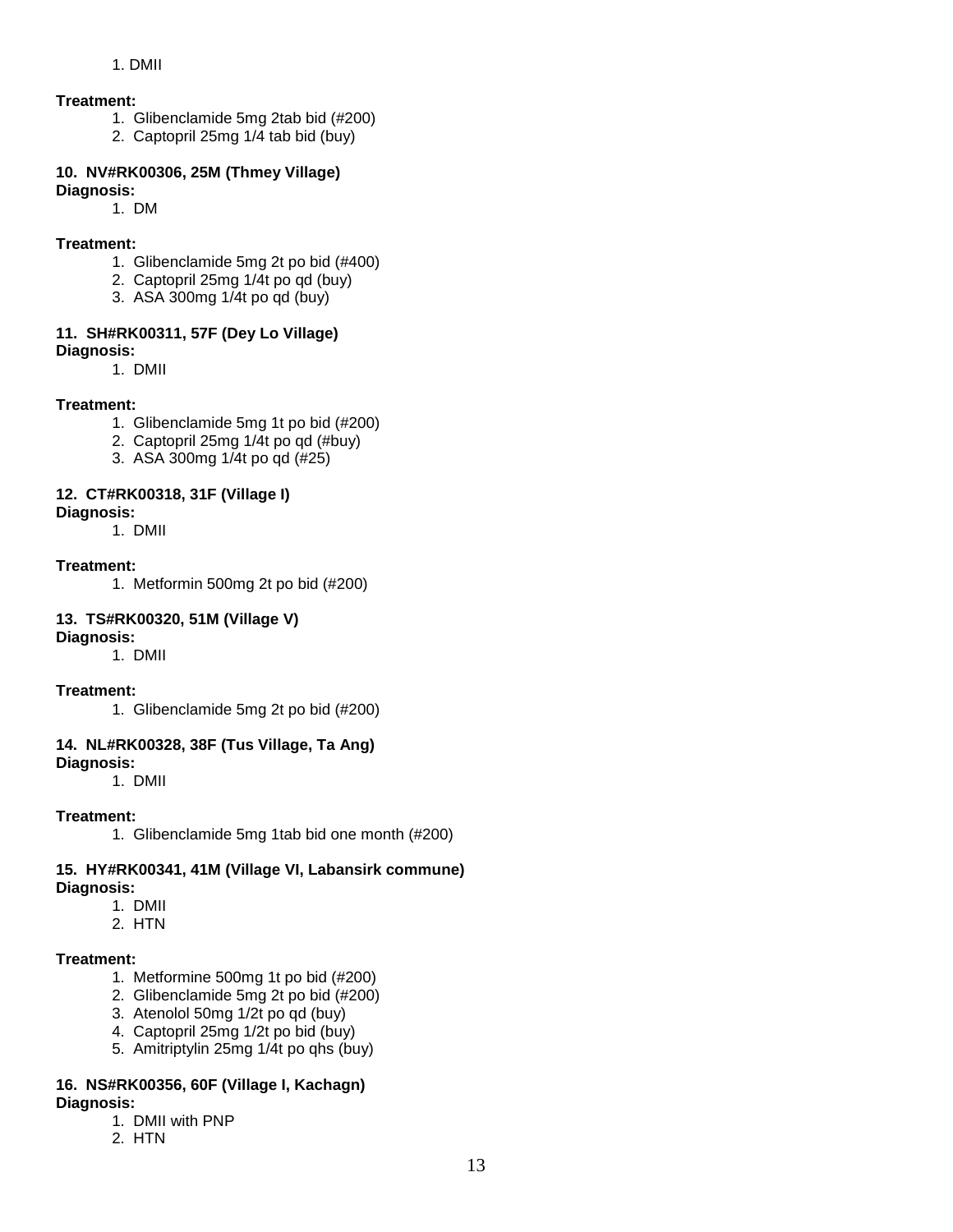#### 1. DMII

#### **Treatment:**

- 1. Glibenclamide 5mg 2tab bid (#200)
- 2. Captopril 25mg 1/4 tab bid (buy)

#### **10. NV#RK00306, 25M (Thmey Village) Diagnosis:**

1. DM

#### **Treatment:**

- 1. Glibenclamide 5mg 2t po bid (#400)
- 2. Captopril 25mg 1/4t po qd (buy)
- 3. ASA 300mg 1/4t po qd (buy)

### **11. SH#RK00311, 57F (Dey Lo Village)**

**Diagnosis:** 

1. DMII

#### **Treatment:**

- 1. Glibenclamide 5mg 1t po bid (#200)
- 2. Captopril 25mg 1/4t po qd (#buy)
- 3. ASA 300mg 1/4t po qd (#25)

#### **12. CT#RK00318, 31F (Village I)**

**Diagnosis:** 

1. DMII

#### **Treatment:**

1. Metformin 500mg 2t po bid (#200)

#### **13. TS#RK00320, 51M (Village V)**

**Diagnosis:** 

1. DMII

#### **Treatment:**

1. Glibenclamide 5mg 2t po bid (#200)

#### **14. NL#RK00328, 38F (Tus Village, Ta Ang)**

**Diagnosis:** 

1. DMII

### **Treatment:**

1. Glibenclamide 5mg 1tab bid one month (#200)

#### **15. HY#RK00341, 41M (Village VI, Labansirk commune) Diagnosis:**

- 1. DMII
- 2. HTN

#### **Treatment:**

- 1. Metformine 500mg 1t po bid (#200)
- 2. Glibenclamide 5mg 2t po bid (#200)
- 3. Atenolol 50mg 1/2t po qd (buy)
- 4. Captopril 25mg 1/2t po bid (buy)
- 5. Amitriptylin 25mg 1/4t po qhs (buy)

#### **16. NS#RK00356, 60F (Village I, Kachagn) Diagnosis:**

- 1. DMII with PNP
- 2. HTN